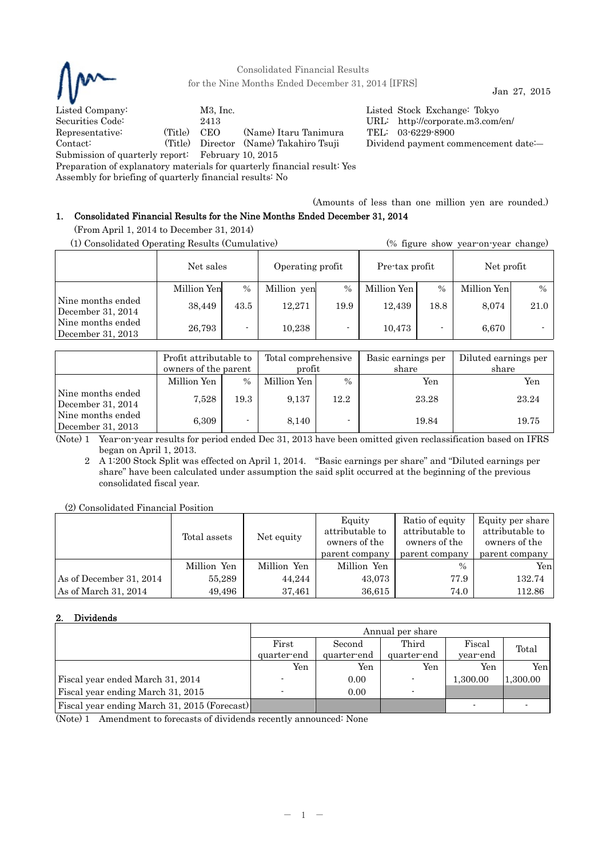

Consolidated Financial Results for the Nine Months Ended December 31, 2014 [IFRS] Jan 27, 2015

Listed Company: M3, Inc. Listed Stock Exchange: Tokyo Securities Code: 2413 URL: http://corporate.m3.com/en/ Representative: (Title) CEO (Name) Itaru Tanimura TEL: 03-6229-8900 Contact: (Title) Director (Name) Takahiro Tsuji Dividend payment commencement date:― Submission of quarterly report: February 10, 2015

Preparation of explanatory materials for quarterly financial result: Yes

Assembly for briefing of quarterly financial results: No

 (Amounts of less than one million yen are rounded.) 1. Consolidated Financial Results for the Nine Months Ended December 31, 2014

(From April 1, 2014 to December 31, 2014)

(1) Consolidated Operating Results (Cumulative) (% figure show year-on-year change)

| (1) Consondated Operating Results (Cumulative) |             |               |                  |      |                |               | $\sqrt{2}$ in the show year on year change. |               |
|------------------------------------------------|-------------|---------------|------------------|------|----------------|---------------|---------------------------------------------|---------------|
|                                                | Net sales   |               | Operating profit |      | Pre-tax profit |               | Net profit                                  |               |
|                                                | Million Yen | $\frac{0}{0}$ | Million yen      | $\%$ | Million Yen    | $\frac{0}{0}$ | Million Yen                                 | $\frac{0}{0}$ |
| Nine months ended<br>December 31, 2014         | 38,449      | 43.5          | 12.271           | 19.9 | 12,439         | 18.8          | 8.074                                       | 21.0          |
| Nine months ended<br>December 31, 2013         | 26,793      |               | 10,238           |      | 10.473         |               | 6,670                                       |               |

|                                        | Profit attributable to<br>owners of the parent |      | Total comprehensive<br>profit |                          | Basic earnings per<br>share | Diluted earnings per<br>share |
|----------------------------------------|------------------------------------------------|------|-------------------------------|--------------------------|-----------------------------|-------------------------------|
|                                        | Million Yen                                    | $\%$ | Million Yen                   | $\frac{0}{0}$            | Yen                         | Yen                           |
| Nine months ended<br>December 31, 2014 | 7,528                                          | 19.3 | 9.137                         | 12.2                     | 23.28                       | 23.24                         |
| Nine months ended<br>December 31, 2013 | 6,309                                          |      | 8.140                         | $\overline{\phantom{0}}$ | 19.84                       | 19.75                         |

(Note) 1 Year-on-year results for period ended Dec 31, 2013 have been omitted given reclassification based on IFRS began on April 1, 2013.

2 A 1:200 Stock Split was effected on April 1, 2014. "Basic earnings per share" and "Diluted earnings per share" have been calculated under assumption the said split occurred at the beginning of the previous consolidated fiscal year.

(2) Consolidated Financial Position

|                         | Total assets | Net equity  | Equity<br>attributable to<br>owners of the<br>parent company | Ratio of equity<br>attributable to<br>owners of the<br>parent company | Equity per share<br>attributable to<br>owners of the<br>parent company |
|-------------------------|--------------|-------------|--------------------------------------------------------------|-----------------------------------------------------------------------|------------------------------------------------------------------------|
|                         | Million Yen  | Million Yen | Million Yen                                                  | $\frac{0}{0}$                                                         | Yenl                                                                   |
| As of December 31, 2014 | 55,289       | 44.244      | 43,073                                                       | 77.9                                                                  | 132.74                                                                 |
| As of March 31, 2014    | 49,496       | 37,461      | 36,615                                                       | 74.0                                                                  | 112.86                                                                 |

# 2. Dividends

|                                              | Annual per share         |             |             |          |          |  |
|----------------------------------------------|--------------------------|-------------|-------------|----------|----------|--|
|                                              | First                    | Second      | Third       | Fiscal   | Total    |  |
|                                              | quarter-end              | quarter-end | quarter-end | year-end |          |  |
|                                              | Yen                      | Yen         | Yen         | Yen      | Yenl     |  |
| Fiscal year ended March 31, 2014             |                          | 0.00        |             | 1,300.00 | 1,300.00 |  |
| Fiscal year ending March 31, 2015            | $\overline{\phantom{a}}$ | 0.00        |             |          |          |  |
| Fiscal year ending March 31, 2015 (Forecast) |                          |             |             |          |          |  |

(Note) 1 Amendment to forecasts of dividends recently announced: None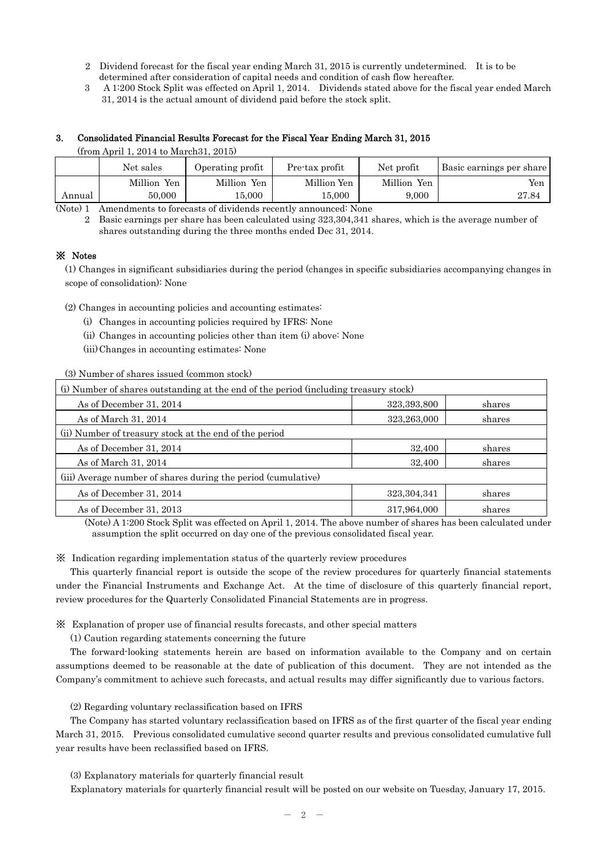- 2 Dividend forecast for the fiscal year ending March 31, 2015 is currently undetermined. It is to be determined after consideration of capital needs and condition of cash flow hereafter.
- 3 A 1:200 Stock Split was effected on April 1, 2014. Dividends stated above for the fiscal year ended March 31, 2014 is the actual amount of dividend paid before the stock split.

### 3. Consolidated Financial Results Forecast for the Fiscal Year Ending March 31, 2015

|  |  | (from April 1, 2014 to March 31, 2015) |  |
|--|--|----------------------------------------|--|
|  |  |                                        |  |

|        | Net sales   | Operating profit | Pre-tax profit | Net profit  | Basic earnings per share |
|--------|-------------|------------------|----------------|-------------|--------------------------|
|        | Million Yen | Million Yen      | Million Yen    | Million Yen | Yen                      |
| Annual | 50,000      | 15.000           | 15.000         | 9.000       | 27.84                    |

(Note) 1 Amendments to forecasts of dividends recently announced: None

2 Basic earnings per share has been calculated using 323,304,341 shares, which is the average number of shares outstanding during the three months ended Dec 31, 2014.

# ※ Notes

(1) Changes in significant subsidiaries during the period (changes in specific subsidiaries accompanying changes in scope of consolidation): None

(2) Changes in accounting policies and accounting estimates:

- (i) Changes in accounting policies required by IFRS: None
- (ii) Changes in accounting policies other than item (i) above: None
- (iii) Changes in accounting estimates: None

(3) Number of shares issued (common stock)

| (i) Number of shares outstanding at the end of the period (including treasury stock) |               |        |  |  |  |  |
|--------------------------------------------------------------------------------------|---------------|--------|--|--|--|--|
| As of December 31, 2014                                                              | 323,393,800   | shares |  |  |  |  |
| As of March 31, 2014                                                                 | 323,263,000   | shares |  |  |  |  |
| (ii) Number of treasury stock at the end of the period                               |               |        |  |  |  |  |
| As of December 31, 2014                                                              | 32,400        | shares |  |  |  |  |
| As of March 31, 2014                                                                 | 32,400        | shares |  |  |  |  |
| (iii) Average number of shares during the period (cumulative)                        |               |        |  |  |  |  |
| As of December 31, 2014                                                              | 323, 304, 341 | shares |  |  |  |  |
| As of December 31, 2013                                                              | 317,964,000   | shares |  |  |  |  |

(Note) A 1:200 Stock Split was effected on April 1, 2014. The above number of shares has been calculated under assumption the split occurred on day one of the previous consolidated fiscal year.

※ Indication regarding implementation status of the quarterly review procedures

This quarterly financial report is outside the scope of the review procedures for quarterly financial statements under the Financial Instruments and Exchange Act. At the time of disclosure of this quarterly financial report, review procedures for the Quarterly Consolidated Financial Statements are in progress.

※ Explanation of proper use of financial results forecasts, and other special matters

(1) Caution regarding statements concerning the future

The forward-looking statements herein are based on information available to the Company and on certain assumptions deemed to be reasonable at the date of publication of this document. They are not intended as the Company's commitment to achieve such forecasts, and actual results may differ significantly due to various factors.

(2) Regarding voluntary reclassification based on IFRS

The Company has started voluntary reclassification based on IFRS as of the first quarter of the fiscal year ending March 31, 2015. Previous consolidated cumulative second quarter results and previous consolidated cumulative full year results have been reclassified based on IFRS.

(3) Explanatory materials for quarterly financial result

Explanatory materials for quarterly financial result will be posted on our website on Tuesday, January 17, 2015.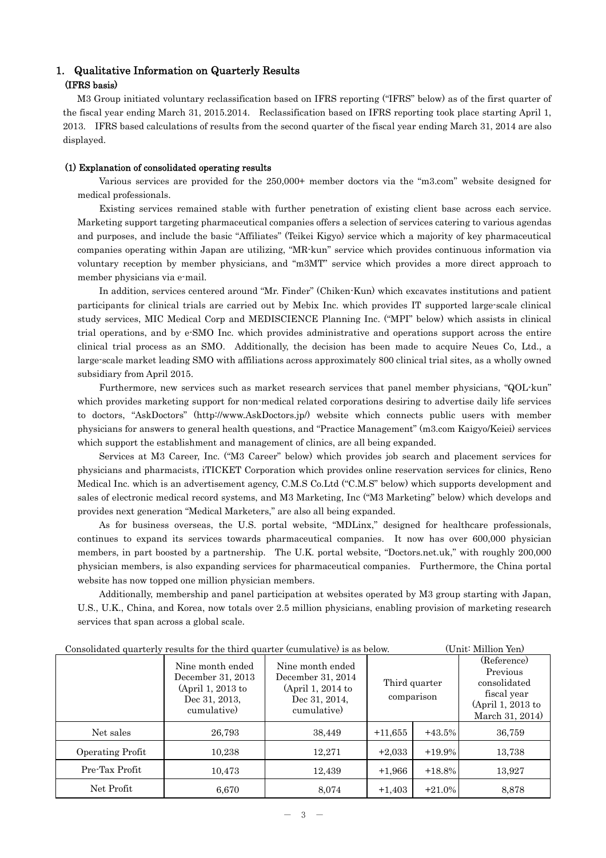# 1. Qualitative Information on Quarterly Results

# (IFRS basis)

M3 Group initiated voluntary reclassification based on IFRS reporting ("IFRS" below) as of the first quarter of the fiscal year ending March 31, 2015.2014. Reclassification based on IFRS reporting took place starting April 1, 2013. IFRS based calculations of results from the second quarter of the fiscal year ending March 31, 2014 are also displayed.

### (1) Explanation of consolidated operating results

Various services are provided for the 250,000+ member doctors via the "m3.com" website designed for medical professionals.

Existing services remained stable with further penetration of existing client base across each service. Marketing support targeting pharmaceutical companies offers a selection of services catering to various agendas and purposes, and include the basic "Affiliates" (Teikei Kigyo) service which a majority of key pharmaceutical companies operating within Japan are utilizing, "MR-kun" service which provides continuous information via voluntary reception by member physicians, and "m3MT" service which provides a more direct approach to member physicians via e-mail.

In addition, services centered around "Mr. Finder" (Chiken-Kun) which excavates institutions and patient participants for clinical trials are carried out by Mebix Inc. which provides IT supported large-scale clinical study services, MIC Medical Corp and MEDISCIENCE Planning Inc. ("MPI" below) which assists in clinical trial operations, and by e-SMO Inc. which provides administrative and operations support across the entire clinical trial process as an SMO. Additionally, the decision has been made to acquire Neues Co, Ltd., a large-scale market leading SMO with affiliations across approximately 800 clinical trial sites, as a wholly owned subsidiary from April 2015.

Furthermore, new services such as market research services that panel member physicians, "QOL-kun" which provides marketing support for non-medical related corporations desiring to advertise daily life services to doctors, "AskDoctors" (http://www.AskDoctors.jp/) website which connects public users with member physicians for answers to general health questions, and "Practice Management" (m3.com Kaigyo/Keiei) services which support the establishment and management of clinics, are all being expanded.

Services at M3 Career, Inc. ("M3 Career" below) which provides job search and placement services for physicians and pharmacists, iTICKET Corporation which provides online reservation services for clinics, Reno Medical Inc. which is an advertisement agency, C.M.S Co.Ltd ("C.M.S" below) which supports development and sales of electronic medical record systems, and M3 Marketing, Inc ("M3 Marketing" below) which develops and provides next generation "Medical Marketers," are also all being expanded.

As for business overseas, the U.S. portal website, "MDLinx," designed for healthcare professionals, continues to expand its services towards pharmaceutical companies. It now has over 600,000 physician members, in part boosted by a partnership. The U.K. portal website, "Doctors.net.uk," with roughly 200,000 physician members, is also expanding services for pharmaceutical companies. Furthermore, the China portal website has now topped one million physician members.

Additionally, membership and panel participation at websites operated by M3 group starting with Japan, U.S., U.K., China, and Korea, now totals over 2.5 million physicians, enabling provision of marketing research services that span across a global scale.

| Consolidated quarterly results for the third quarter (cumulative) is as below.<br>(Unit: Million Yen) |                                                                                            |                                                                                            |                             |          |                                                                                                |  |  |
|-------------------------------------------------------------------------------------------------------|--------------------------------------------------------------------------------------------|--------------------------------------------------------------------------------------------|-----------------------------|----------|------------------------------------------------------------------------------------------------|--|--|
|                                                                                                       | Nine month ended<br>December 31, 2013<br>(April 1, 2013 to<br>Dec 31, 2013.<br>cumulative) | Nine month ended<br>December 31, 2014<br>(April 1, 2014 to<br>Dec 31, 2014.<br>cumulative) | Third quarter<br>comparison |          | (Reference)<br>Previous<br>consolidated<br>fiscal year<br>(April 1, 2013 to<br>March 31, 2014) |  |  |
| Net sales                                                                                             | 26,793                                                                                     | 38,449                                                                                     | $+11,655$                   | $+43.5%$ | 36,759                                                                                         |  |  |
| Operating Profit                                                                                      | 10,238                                                                                     | 12,271                                                                                     | $+2,033$                    | $+19.9%$ | 13,738                                                                                         |  |  |
| Pre-Tax Profit                                                                                        | 10,473                                                                                     | 12.439                                                                                     | $+1.966$                    | $+18.8%$ | 13,927                                                                                         |  |  |
| Net Profit                                                                                            | 6,670                                                                                      | 8.074                                                                                      | $+1,403$                    | $+21.0%$ | 8,878                                                                                          |  |  |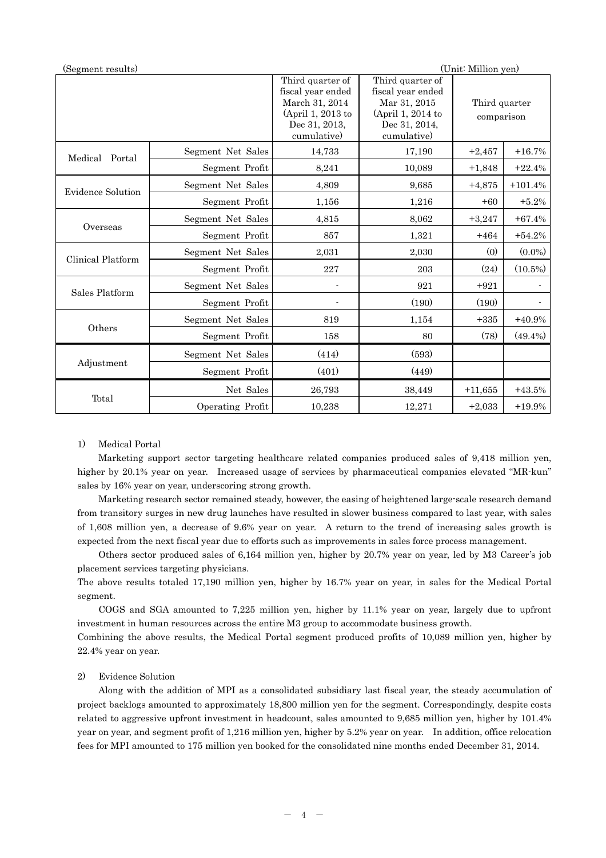| (Unit: Million yen)<br>(Segment results) |                   |                                                                                                              |                                                                                                            |                             |            |
|------------------------------------------|-------------------|--------------------------------------------------------------------------------------------------------------|------------------------------------------------------------------------------------------------------------|-----------------------------|------------|
|                                          |                   | Third quarter of<br>fiscal year ended<br>March 31, 2014<br>(April 1, 2013 to<br>Dec 31, 2013,<br>cumulative) | Third quarter of<br>fiscal year ended<br>Mar 31, 2015<br>(April 1, 2014 to<br>Dec 31, 2014,<br>cumulative) | Third quarter<br>comparison |            |
| Portal<br>Medical                        | Segment Net Sales | 14,733                                                                                                       | 17,190                                                                                                     | $+2,457$                    | $+16.7%$   |
|                                          | Segment Profit    | 8,241                                                                                                        | 10,089                                                                                                     | $+1,848$                    | $+22.4%$   |
| Evidence Solution                        | Segment Net Sales | 4,809                                                                                                        | 9,685                                                                                                      | $+4,875$                    | $+101.4%$  |
|                                          | Segment Profit    | 1,156                                                                                                        | 1,216                                                                                                      | $+60$                       | $+5.2%$    |
| Overseas                                 | Segment Net Sales | 4,815                                                                                                        | 8,062                                                                                                      | $+3,247$                    | $+67.4%$   |
|                                          | Segment Profit    | 857                                                                                                          | 1,321                                                                                                      | $+464$                      | $+54.2%$   |
| Clinical Platform                        | Segment Net Sales | 2,031                                                                                                        | 2,030                                                                                                      | (0)                         | $(0.0\%)$  |
|                                          | Segment Profit    | 227                                                                                                          | 203                                                                                                        | (24)                        | $(10.5\%)$ |
| Sales Platform                           | Segment Net Sales |                                                                                                              | 921                                                                                                        | $+921$                      |            |
|                                          | Segment Profit    |                                                                                                              | (190)                                                                                                      | (190)                       |            |
|                                          | Segment Net Sales | 819                                                                                                          | 1,154                                                                                                      | $+335$                      | $+40.9%$   |
| Others                                   | Segment Profit    | 158                                                                                                          | 80                                                                                                         | (78)                        | $(49.4\%)$ |
|                                          | Segment Net Sales | (414)                                                                                                        | (593)                                                                                                      |                             |            |
| Adjustment                               | Segment Profit    | (401)                                                                                                        | (449)                                                                                                      |                             |            |
|                                          | Net Sales         | 26,793                                                                                                       | 38,449                                                                                                     | $+11,655$                   | $+43.5%$   |
| Total                                    | Operating Profit  | 10,238                                                                                                       | 12,271                                                                                                     | $+2,033$                    | $+19.9%$   |

### 1) Medical Portal

Marketing support sector targeting healthcare related companies produced sales of 9,418 million yen, higher by 20.1% year on year. Increased usage of services by pharmaceutical companies elevated "MR-kun" sales by 16% year on year, underscoring strong growth.

Marketing research sector remained steady, however, the easing of heightened large-scale research demand from transitory surges in new drug launches have resulted in slower business compared to last year, with sales of 1,608 million yen, a decrease of 9.6% year on year. A return to the trend of increasing sales growth is expected from the next fiscal year due to efforts such as improvements in sales force process management.

Others sector produced sales of 6,164 million yen, higher by 20.7% year on year, led by M3 Career's job placement services targeting physicians.

The above results totaled 17,190 million yen, higher by 16.7% year on year, in sales for the Medical Portal segment.

 COGS and SGA amounted to 7,225 million yen, higher by 11.1% year on year, largely due to upfront investment in human resources across the entire M3 group to accommodate business growth.

Combining the above results, the Medical Portal segment produced profits of 10,089 million yen, higher by 22.4% year on year.

### 2) Evidence Solution

Along with the addition of MPI as a consolidated subsidiary last fiscal year, the steady accumulation of project backlogs amounted to approximately 18,800 million yen for the segment. Correspondingly, despite costs related to aggressive upfront investment in headcount, sales amounted to 9,685 million yen, higher by 101.4% year on year, and segment profit of 1,216 million yen, higher by 5.2% year on year. In addition, office relocation fees for MPI amounted to 175 million yen booked for the consolidated nine months ended December 31, 2014.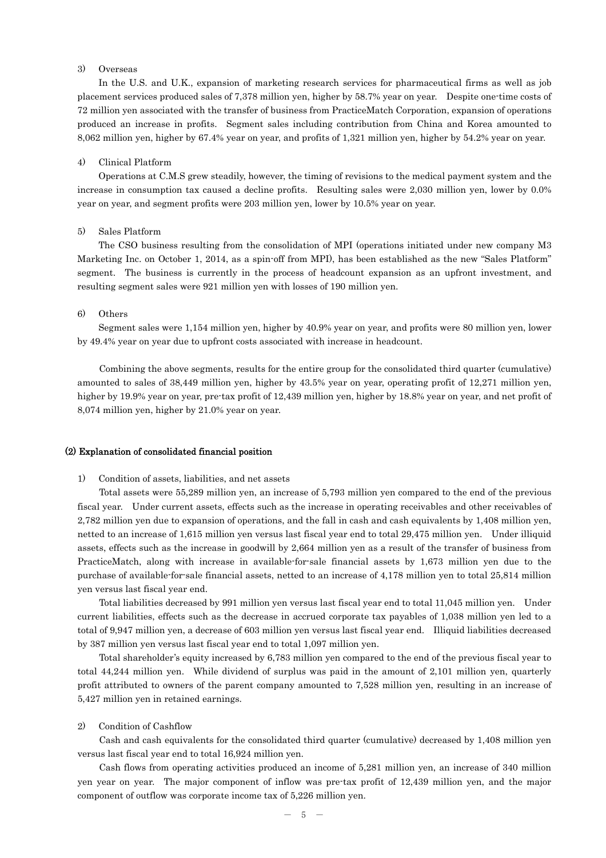## 3) Overseas

In the U.S. and U.K., expansion of marketing research services for pharmaceutical firms as well as job placement services produced sales of 7,378 million yen, higher by 58.7% year on year. Despite one-time costs of 72 million yen associated with the transfer of business from PracticeMatch Corporation, expansion of operations produced an increase in profits. Segment sales including contribution from China and Korea amounted to 8,062 million yen, higher by 67.4% year on year, and profits of 1,321 million yen, higher by 54.2% year on year.

### 4) Clinical Platform

Operations at C.M.S grew steadily, however, the timing of revisions to the medical payment system and the increase in consumption tax caused a decline profits. Resulting sales were 2,030 million yen, lower by 0.0% year on year, and segment profits were 203 million yen, lower by 10.5% year on year.

#### 5) Sales Platform

The CSO business resulting from the consolidation of MPI (operations initiated under new company M3 Marketing Inc. on October 1, 2014, as a spin-off from MPI), has been established as the new "Sales Platform" segment. The business is currently in the process of headcount expansion as an upfront investment, and resulting segment sales were 921 million yen with losses of 190 million yen.

#### 6) Others

Segment sales were 1,154 million yen, higher by 40.9% year on year, and profits were 80 million yen, lower by 49.4% year on year due to upfront costs associated with increase in headcount.

Combining the above segments, results for the entire group for the consolidated third quarter (cumulative) amounted to sales of 38,449 million yen, higher by 43.5% year on year, operating profit of 12,271 million yen, higher by 19.9% year on year, pre-tax profit of 12,439 million yen, higher by 18.8% year on year, and net profit of 8,074 million yen, higher by 21.0% year on year.

#### (2) Explanation of consolidated financial position

#### 1) Condition of assets, liabilities, and net assets

Total assets were 55,289 million yen, an increase of 5,793 million yen compared to the end of the previous fiscal year. Under current assets, effects such as the increase in operating receivables and other receivables of 2,782 million yen due to expansion of operations, and the fall in cash and cash equivalents by 1,408 million yen, netted to an increase of 1,615 million yen versus last fiscal year end to total 29,475 million yen. Under illiquid assets, effects such as the increase in goodwill by 2,664 million yen as a result of the transfer of business from PracticeMatch, along with increase in available-for-sale financial assets by 1,673 million yen due to the purchase of available-for-sale financial assets, netted to an increase of 4,178 million yen to total 25,814 million yen versus last fiscal year end.

Total liabilities decreased by 991 million yen versus last fiscal year end to total 11,045 million yen. Under current liabilities, effects such as the decrease in accrued corporate tax payables of 1,038 million yen led to a total of 9,947 million yen, a decrease of 603 million yen versus last fiscal year end. Illiquid liabilities decreased by 387 million yen versus last fiscal year end to total 1,097 million yen.

Total shareholder's equity increased by 6,783 million yen compared to the end of the previous fiscal year to total 44,244 million yen. While dividend of surplus was paid in the amount of 2,101 million yen, quarterly profit attributed to owners of the parent company amounted to 7,528 million yen, resulting in an increase of 5,427 million yen in retained earnings.

#### 2) Condition of Cashflow

Cash and cash equivalents for the consolidated third quarter (cumulative) decreased by 1,408 million yen versus last fiscal year end to total 16,924 million yen.

Cash flows from operating activities produced an income of 5,281 million yen, an increase of 340 million yen year on year. The major component of inflow was pre-tax profit of 12,439 million yen, and the major component of outflow was corporate income tax of 5,226 million yen.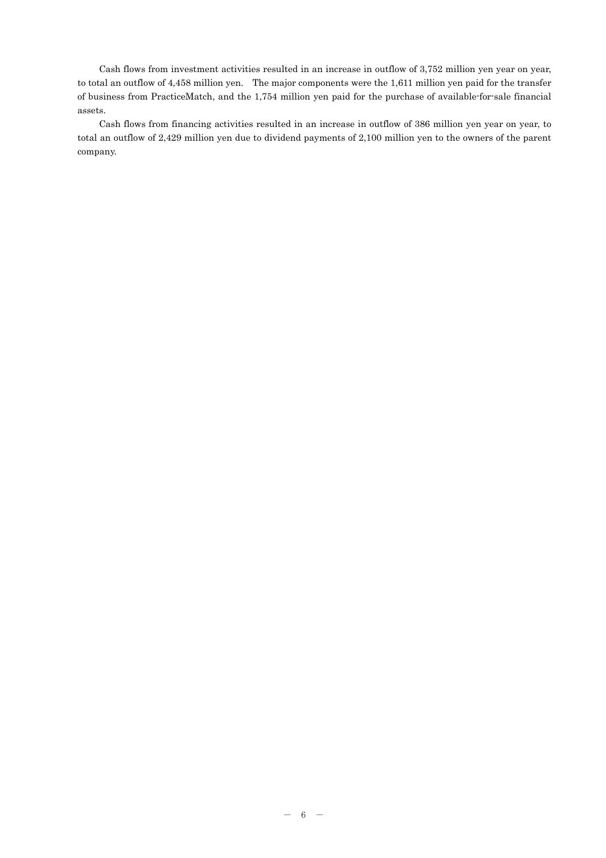Cash flows from investment activities resulted in an increase in outflow of 3,752 million yen year on year, to total an outflow of 4,458 million yen. The major components were the 1,611 million yen paid for the transfer of business from PracticeMatch, and the 1,754 million yen paid for the purchase of available-for-sale financial assets.

Cash flows from financing activities resulted in an increase in outflow of 386 million yen year on year, to total an outflow of 2,429 million yen due to dividend payments of 2,100 million yen to the owners of the parent company.